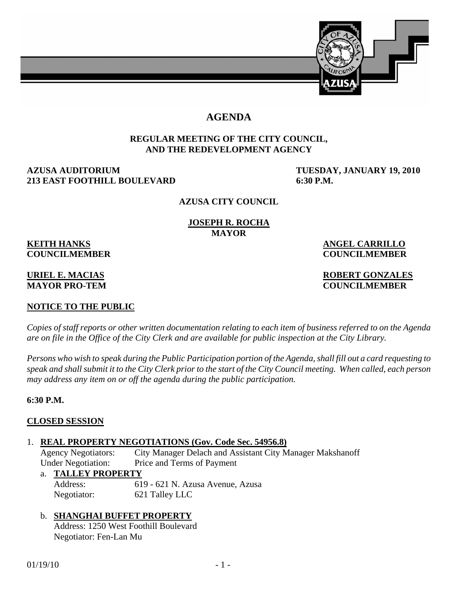

# **AGENDA**

#### **REGULAR MEETING OF THE CITY COUNCIL, AND THE REDEVELOPMENT AGENCY**

## **AZUSA AUDITORIUM TUESDAY, JANUARY 19, 2010 213 EAST FOOTHILL BOULEVARD 6:30 P.M.**

#### **AZUSA CITY COUNCIL**

#### **JOSEPH R. ROCHA MAYOR**

# **KEITH HANKS** ANGEL CARRILLO

# **COUNCILMEMBER COUNCILMEMBER**

## **URIEL E. MACIAS ROBERT GONZALES MAYOR PRO-TEM COUNCILMEMBER**

# **NOTICE TO THE PUBLIC**

*Copies of staff reports or other written documentation relating to each item of business referred to on the Agenda are on file in the Office of the City Clerk and are available for public inspection at the City Library.* 

*Persons who wish to speak during the Public Participation portion of the Agenda, shall fill out a card requesting to speak and shall submit it to the City Clerk prior to the start of the City Council meeting. When called, each person may address any item on or off the agenda during the public participation.*

## **6:30 P.M.**

## **CLOSED SESSION**

#### 1. **REAL PROPERTY NEGOTIATIONS (Gov. Code Sec. 54956.8)**

 Agency Negotiators: City Manager Delach and Assistant City Manager Makshanoff Under Negotiation: Price and Terms of Payment

#### a. **TALLEY PROPERTY**

 Address: 619 - 621 N. Azusa Avenue, Azusa Negotiator: 621 Talley LLC

## b. **SHANGHAI BUFFET PROPERTY**

 Address: 1250 West Foothill Boulevard Negotiator: Fen-Lan Mu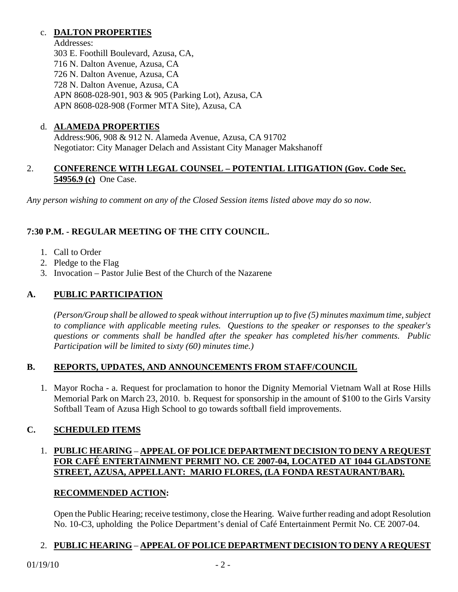# c. **DALTON PROPERTIES**

 Addresses: 303 E. Foothill Boulevard, Azusa, CA, 716 N. Dalton Avenue, Azusa, CA 726 N. Dalton Avenue, Azusa, CA 728 N. Dalton Avenue, Azusa, CA APN 8608-028-901, 903 & 905 (Parking Lot), Azusa, CA APN 8608-028-908 (Former MTA Site), Azusa, CA

## d. **ALAMEDA PROPERTIES**

 Address:906, 908 & 912 N. Alameda Avenue, Azusa, CA 91702 Negotiator: City Manager Delach and Assistant City Manager Makshanoff

## 2. **CONFERENCE WITH LEGAL COUNSEL – POTENTIAL LITIGATION (Gov. Code Sec. 54956.9 (c)** One Case.

*Any person wishing to comment on any of the Closed Session items listed above may do so now.* 

# **7:30 P.M. - REGULAR MEETING OF THE CITY COUNCIL.**

- 1. Call to Order
- 2. Pledge to the Flag
- 3. Invocation Pastor Julie Best of the Church of the Nazarene

# **A. PUBLIC PARTICIPATION**

*(Person/Group shall be allowed to speak without interruption up to five (5) minutes maximum time, subject to compliance with applicable meeting rules. Questions to the speaker or responses to the speaker's questions or comments shall be handled after the speaker has completed his/her comments. Public Participation will be limited to sixty (60) minutes time.)* 

## **B. REPORTS, UPDATES, AND ANNOUNCEMENTS FROM STAFF/COUNCIL**

 1. Mayor Rocha - a. Request for proclamation to honor the Dignity Memorial Vietnam Wall at Rose Hills Memorial Park on March 23, 2010. b. Request for sponsorship in the amount of \$100 to the Girls Varsity Softball Team of Azusa High School to go towards softball field improvements.

# **C. SCHEDULED ITEMS**

# 1. **PUBLIC HEARING** – **APPEAL OF POLICE DEPARTMENT DECISION TO DENY A REQUEST FOR CAFÉ ENTERTAINMENT PERMIT NO. CE 2007-04, LOCATED AT 1044 GLADSTONE STREET, AZUSA, APPELLANT: MARIO FLORES, (LA FONDA RESTAURANT/BAR).**

## **RECOMMENDED ACTION:**

Open the Public Hearing; receive testimony, close the Hearing. Waive further reading and adopt Resolution No. 10-C3, upholding the Police Department's denial of Café Entertainment Permit No. CE 2007-04.

# 2. **PUBLIC HEARING** – **APPEAL OF POLICE DEPARTMENT DECISION TO DENY A REQUEST**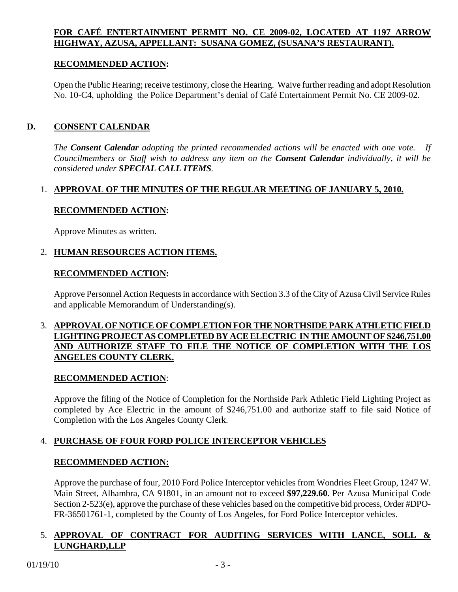# **FOR CAFÉ ENTERTAINMENT PERMIT NO. CE 2009-02, LOCATED AT 1197 ARROW HIGHWAY, AZUSA, APPELLANT: SUSANA GOMEZ, (SUSANA'S RESTAURANT).**

## **RECOMMENDED ACTION:**

 Open the Public Hearing; receive testimony, close the Hearing. Waive further reading and adopt Resolution No. 10-C4, upholding the Police Department's denial of Café Entertainment Permit No. CE 2009-02.

## **D. CONSENT CALENDAR**

*The Consent Calendar adopting the printed recommended actions will be enacted with one vote. If Councilmembers or Staff wish to address any item on the Consent Calendar individually, it will be considered under SPECIAL CALL ITEMS.* 

## 1. **APPROVAL OF THE MINUTES OF THE REGULAR MEETING OF JANUARY 5, 2010.**

## **RECOMMENDED ACTION:**

Approve Minutes as written.

## 2. **HUMAN RESOURCES ACTION ITEMS.**

#### **RECOMMENDED ACTION:**

 Approve Personnel Action Requests in accordance with Section 3.3 of the City of Azusa Civil Service Rules and applicable Memorandum of Understanding(s).

## 3. **APPROVAL OF NOTICE OF COMPLETION FOR THE NORTHSIDE PARK ATHLETIC FIELD LIGHTING PROJECT AS COMPLETED BY ACE ELECTRIC IN THE AMOUNT OF \$246,751.00 AND AUTHORIZE STAFF TO FILE THE NOTICE OF COMPLETION WITH THE LOS ANGELES COUNTY CLERK.**

## **RECOMMENDED ACTION**:

Approve the filing of the Notice of Completion for the Northside Park Athletic Field Lighting Project as completed by Ace Electric in the amount of \$246,751.00 and authorize staff to file said Notice of Completion with the Los Angeles County Clerk.

## 4. **PURCHASE OF FOUR FORD POLICE INTERCEPTOR VEHICLES**

## **RECOMMENDED ACTION:**

 Approve the purchase of four, 2010 Ford Police Interceptor vehicles from Wondries Fleet Group, 1247 W. Main Street, Alhambra, CA 91801, in an amount not to exceed **\$97,229.60**. Per Azusa Municipal Code Section 2-523(e), approve the purchase of these vehicles based on the competitive bid process, Order #DPO-FR-36501761-1, completed by the County of Los Angeles, for Ford Police Interceptor vehicles.

## 5. **APPROVAL OF CONTRACT FOR AUDITING SERVICES WITH LANCE, SOLL & LUNGHARD,LLP**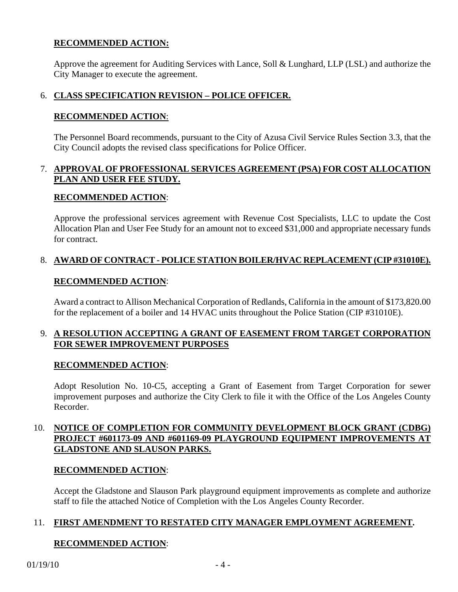## **RECOMMENDED ACTION:**

 Approve the agreement for Auditing Services with Lance, Soll & Lunghard, LLP (LSL) and authorize the City Manager to execute the agreement.

# 6. **CLASS SPECIFICATION REVISION – POLICE OFFICER.**

#### **RECOMMENDED ACTION**:

 The Personnel Board recommends, pursuant to the City of Azusa Civil Service Rules Section 3.3, that the City Council adopts the revised class specifications for Police Officer.

## 7. **APPROVAL OF PROFESSIONAL SERVICES AGREEMENT (PSA) FOR COST ALLOCATION PLAN AND USER FEE STUDY.**

#### **RECOMMENDED ACTION**:

 Approve the professional services agreement with Revenue Cost Specialists, LLC to update the Cost Allocation Plan and User Fee Study for an amount not to exceed \$31,000 and appropriate necessary funds for contract.

## 8. **AWARD OF CONTRACT - POLICE STATION BOILER/HVAC REPLACEMENT (CIP #31010E).**

#### **RECOMMENDED ACTION**:

 Award a contract to Allison Mechanical Corporation of Redlands, California in the amount of \$173,820.00 for the replacement of a boiler and 14 HVAC units throughout the Police Station (CIP #31010E).

## 9. **A RESOLUTION ACCEPTING A GRANT OF EASEMENT FROM TARGET CORPORATION FOR SEWER IMPROVEMENT PURPOSES**

## **RECOMMENDED ACTION**:

 Adopt Resolution No. 10-C5, accepting a Grant of Easement from Target Corporation for sewer improvement purposes and authorize the City Clerk to file it with the Office of the Los Angeles County Recorder.

## 10. **NOTICE OF COMPLETION FOR COMMUNITY DEVELOPMENT BLOCK GRANT (CDBG) PROJECT #601173-09 AND #601169-09 PLAYGROUND EQUIPMENT IMPROVEMENTS AT GLADSTONE AND SLAUSON PARKS.**

#### **RECOMMENDED ACTION**:

 Accept the Gladstone and Slauson Park playground equipment improvements as complete and authorize staff to file the attached Notice of Completion with the Los Angeles County Recorder.

## 11. **FIRST AMENDMENT TO RESTATED CITY MANAGER EMPLOYMENT AGREEMENT.**

# **RECOMMENDED ACTION**: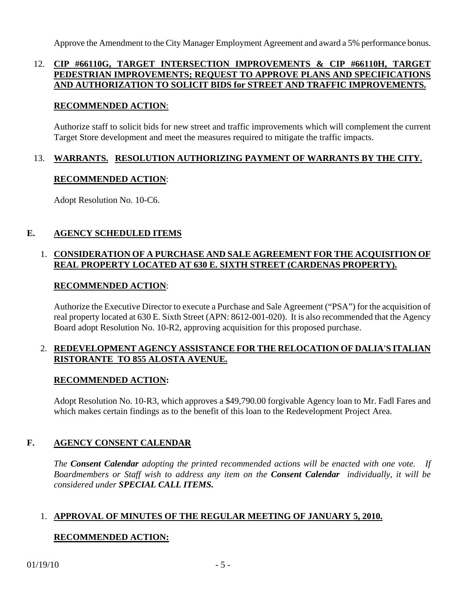Approve the Amendment to the City Manager Employment Agreement and award a 5% performance bonus.

# 12. **CIP #66110G, TARGET INTERSECTION IMPROVEMENTS & CIP #66110H, TARGET PEDESTRIAN IMPROVEMENTS; REQUEST TO APPROVE PLANS AND SPECIFICATIONS AND AUTHORIZATION TO SOLICIT BIDS for STREET AND TRAFFIC IMPROVEMENTS.**

#### **RECOMMENDED ACTION**:

 Authorize staff to solicit bids for new street and traffic improvements which will complement the current Target Store development and meet the measures required to mitigate the traffic impacts.

#### 13. **WARRANTS. RESOLUTION AUTHORIZING PAYMENT OF WARRANTS BY THE CITY.**

## **RECOMMENDED ACTION**:

Adopt Resolution No. 10-C6.

## **E. AGENCY SCHEDULED ITEMS**

## 1. **CONSIDERATION OF A PURCHASE AND SALE AGREEMENT FOR THE ACQUISITION OF REAL PROPERTY LOCATED AT 630 E. SIXTH STREET (CARDENAS PROPERTY).**

## **RECOMMENDED ACTION**:

 Authorize the Executive Director to execute a Purchase and Sale Agreement ("PSA") for the acquisition of real property located at 630 E. Sixth Street (APN: 8612-001-020). It is also recommended that the Agency Board adopt Resolution No. 10-R2, approving acquisition for this proposed purchase.

## 2. **REDEVELOPMENT AGENCY ASSISTANCE FOR THE RELOCATION OF DALIA'S ITALIAN RISTORANTE TO 855 ALOSTA AVENUE.**

## **RECOMMENDED ACTION:**

 Adopt Resolution No. 10-R3, which approves a \$49,790.00 forgivable Agency loan to Mr. Fadl Fares and which makes certain findings as to the benefit of this loan to the Redevelopment Project Area.

## **F. AGENCY CONSENT CALENDAR**

 *The Consent Calendar adopting the printed recommended actions will be enacted with one vote. If Boardmembers or Staff wish to address any item on the Consent Calendar individually, it will be considered under SPECIAL CALL ITEMS.* 

## 1. **APPROVAL OF MINUTES OF THE REGULAR MEETING OF JANUARY 5, 2010.**

# **RECOMMENDED ACTION:**